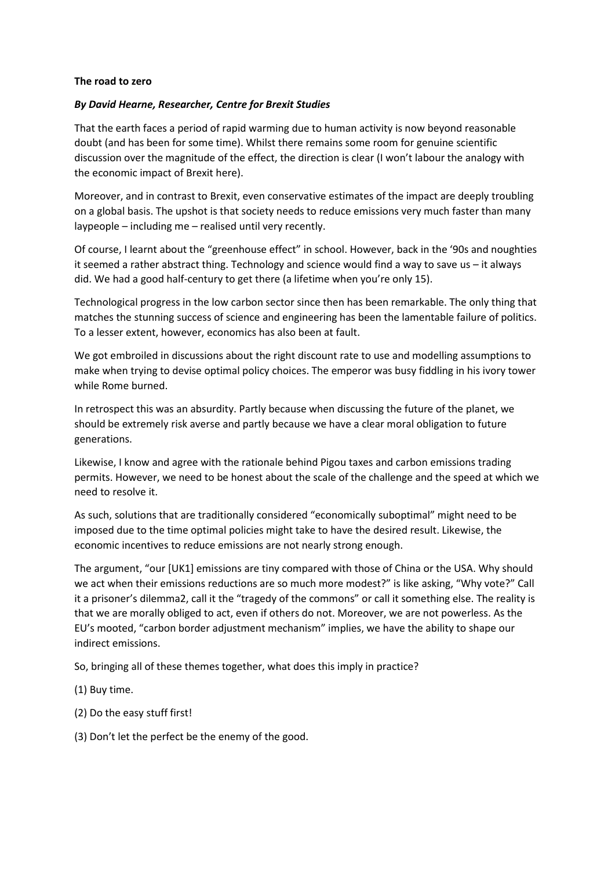## **The road to zero**

## *By David Hearne, Researcher, Centre for Brexit Studies*

That the earth faces a period of rapid warming due to human activity is now beyond reasonable doubt (and has been for some time). Whilst there remains some room for genuine scientific discussion over the magnitude of the effect, the direction is clear (I won't labour the analogy with the economic impact of Brexit here).

Moreover, and in contrast to Brexit, even conservative estimates of the impact are deeply troubling on a global basis. The upshot is that society needs to reduce emissions very much faster than many laypeople – including me – realised until very recently.

Of course, I learnt about the "greenhouse effect" in school. However, back in the '90s and noughties it seemed a rather abstract thing. Technology and science would find a way to save us – it always did. We had a good half-century to get there (a lifetime when you're only 15).

Technological progress in the low carbon sector since then has been remarkable. The only thing that matches the stunning success of science and engineering has been the lamentable failure of politics. To a lesser extent, however, economics has also been at fault.

We got embroiled in discussions about the right discount rate to use and modelling assumptions to make when trying to devise optimal policy choices. The emperor was busy fiddling in his ivory tower while Rome burned.

In retrospect this was an absurdity. Partly because when discussing the future of the planet, we should be extremely risk averse and partly because we have a clear moral obligation to future generations.

Likewise, I know and agree with the rationale behind Pigou taxes and carbon emissions trading permits. However, we need to be honest about the scale of the challenge and the speed at which we need to resolve it.

As such, solutions that are traditionally considered "economically suboptimal" might need to be imposed due to the time optimal policies might take to have the desired result. Likewise, the economic incentives to reduce emissions are not nearly strong enough.

The argument, "our [UK1] emissions are tiny compared with those of China or the USA. Why should we act when their emissions reductions are so much more modest?" is like asking, "Why vote?" Call it a prisoner's dilemma2, call it the "tragedy of the commons" or call it something else. The reality is that we are morally obliged to act, even if others do not. Moreover, we are not powerless. As the EU's mooted, "carbon border adjustment mechanism" implies, we have the ability to shape our indirect emissions.

So, bringing all of these themes together, what does this imply in practice?

- (1) Buy time.
- (2) Do the easy stuff first!
- (3) Don't let the perfect be the enemy of the good.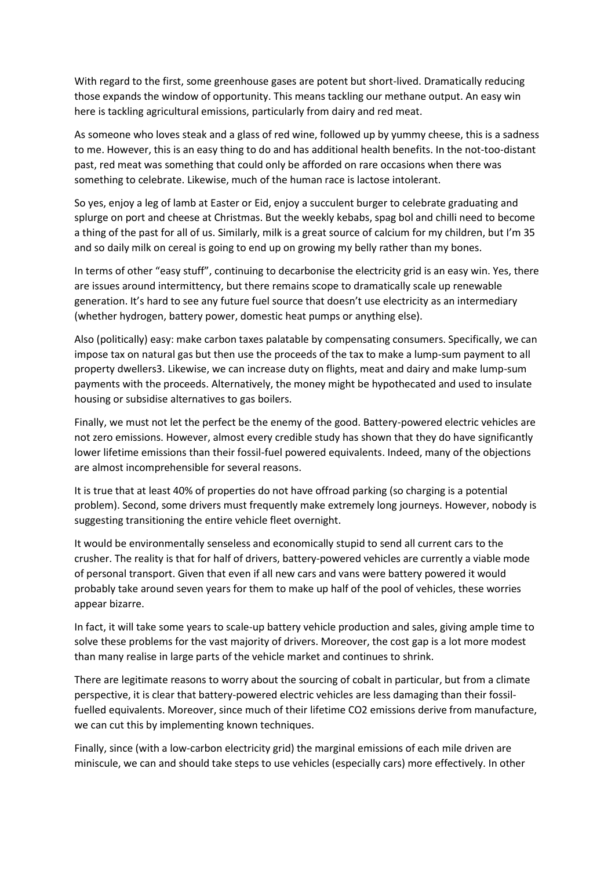With regard to the first, some greenhouse gases are potent but short-lived. Dramatically reducing those expands the window of opportunity. This means tackling our methane output. An easy win here is tackling agricultural emissions, particularly from dairy and red meat.

As someone who loves steak and a glass of red wine, followed up by yummy cheese, this is a sadness to me. However, this is an easy thing to do and has additional health benefits. In the not-too-distant past, red meat was something that could only be afforded on rare occasions when there was something to celebrate. Likewise, much of the human race is lactose intolerant.

So yes, enjoy a leg of lamb at Easter or Eid, enjoy a succulent burger to celebrate graduating and splurge on port and cheese at Christmas. But the weekly kebabs, spag bol and chilli need to become a thing of the past for all of us. Similarly, milk is a great source of calcium for my children, but I'm 35 and so daily milk on cereal is going to end up on growing my belly rather than my bones.

In terms of other "easy stuff", continuing to decarbonise the electricity grid is an easy win. Yes, there are issues around intermittency, but there remains scope to dramatically scale up renewable generation. It's hard to see any future fuel source that doesn't use electricity as an intermediary (whether hydrogen, battery power, domestic heat pumps or anything else).

Also (politically) easy: make carbon taxes palatable by compensating consumers. Specifically, we can impose tax on natural gas but then use the proceeds of the tax to make a lump-sum payment to all property dwellers3. Likewise, we can increase duty on flights, meat and dairy and make lump-sum payments with the proceeds. Alternatively, the money might be hypothecated and used to insulate housing or subsidise alternatives to gas boilers.

Finally, we must not let the perfect be the enemy of the good. Battery-powered electric vehicles are not zero emissions. However, almost every credible study has shown that they do have significantly lower lifetime emissions than their fossil-fuel powered equivalents. Indeed, many of the objections are almost incomprehensible for several reasons.

It is true that at least 40% of properties do not have offroad parking (so charging is a potential problem). Second, some drivers must frequently make extremely long journeys. However, nobody is suggesting transitioning the entire vehicle fleet overnight.

It would be environmentally senseless and economically stupid to send all current cars to the crusher. The reality is that for half of drivers, battery-powered vehicles are currently a viable mode of personal transport. Given that even if all new cars and vans were battery powered it would probably take around seven years for them to make up half of the pool of vehicles, these worries appear bizarre.

In fact, it will take some years to scale-up battery vehicle production and sales, giving ample time to solve these problems for the vast majority of drivers. Moreover, the cost gap is a lot more modest than many realise in large parts of the vehicle market and continues to shrink.

There are legitimate reasons to worry about the sourcing of cobalt in particular, but from a climate perspective, it is clear that battery-powered electric vehicles are less damaging than their fossilfuelled equivalents. Moreover, since much of their lifetime CO2 emissions derive from manufacture, we can cut this by implementing known techniques.

Finally, since (with a low-carbon electricity grid) the marginal emissions of each mile driven are miniscule, we can and should take steps to use vehicles (especially cars) more effectively. In other